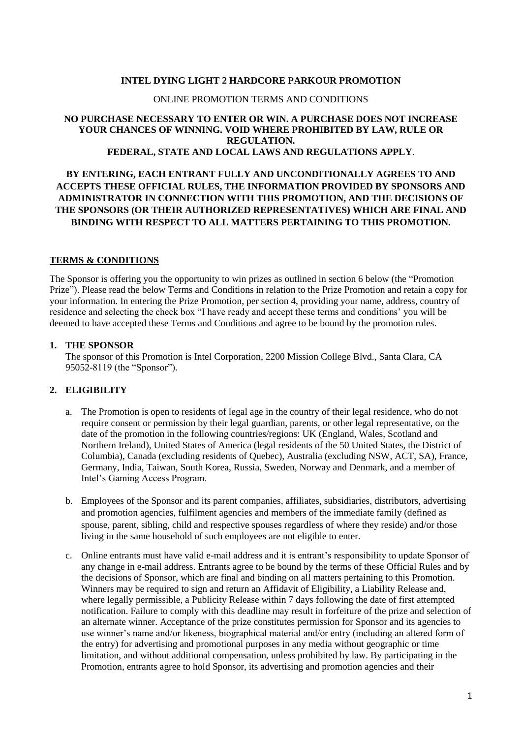#### **INTEL DYING LIGHT 2 HARDCORE PARKOUR PROMOTION**

#### ONLINE PROMOTION TERMS AND CONDITIONS

#### **NO PURCHASE NECESSARY TO ENTER OR WIN. A PURCHASE DOES NOT INCREASE YOUR CHANCES OF WINNING. VOID WHERE PROHIBITED BY LAW, RULE OR REGULATION. FEDERAL, STATE AND LOCAL LAWS AND REGULATIONS APPLY**.

## **BY ENTERING, EACH ENTRANT FULLY AND UNCONDITIONALLY AGREES TO AND ACCEPTS THESE OFFICIAL RULES, THE INFORMATION PROVIDED BY SPONSORS AND ADMINISTRATOR IN CONNECTION WITH THIS PROMOTION, AND THE DECISIONS OF THE SPONSORS (OR THEIR AUTHORIZED REPRESENTATIVES) WHICH ARE FINAL AND BINDING WITH RESPECT TO ALL MATTERS PERTAINING TO THIS PROMOTION.**

#### **TERMS & CONDITIONS**

The Sponsor is offering you the opportunity to win prizes as outlined in section 6 below (the "Promotion Prize"). Please read the below Terms and Conditions in relation to the Prize Promotion and retain a copy for your information. In entering the Prize Promotion, per section 4, providing your name, address, country of residence and selecting the check box "I have ready and accept these terms and conditions' you will be deemed to have accepted these Terms and Conditions and agree to be bound by the promotion rules.

#### **1. THE SPONSOR**

The sponsor of this Promotion is Intel Corporation, 2200 Mission College Blvd., Santa Clara, CA 95052-8119 (the "Sponsor").

### **2. ELIGIBILITY**

- a. The Promotion is open to residents of legal age in the country of their legal residence, who do not require consent or permission by their legal guardian, parents, or other legal representative, on the date of the promotion in the following countries/regions: UK (England, Wales, Scotland and Northern Ireland), United States of America (legal residents of the 50 United States, the District of Columbia), Canada (excluding residents of Quebec), Australia (excluding NSW, ACT, SA), France, Germany, India, Taiwan, South Korea, Russia, Sweden, Norway and Denmark, and a member of Intel's Gaming Access Program.
- b. Employees of the Sponsor and its parent companies, affiliates, subsidiaries, distributors, advertising and promotion agencies, fulfilment agencies and members of the immediate family (defined as spouse, parent, sibling, child and respective spouses regardless of where they reside) and/or those living in the same household of such employees are not eligible to enter.
- c. Online entrants must have valid e-mail address and it is entrant's responsibility to update Sponsor of any change in e-mail address. Entrants agree to be bound by the terms of these Official Rules and by the decisions of Sponsor, which are final and binding on all matters pertaining to this Promotion. Winners may be required to sign and return an Affidavit of Eligibility, a Liability Release and, where legally permissible, a Publicity Release within 7 days following the date of first attempted notification. Failure to comply with this deadline may result in forfeiture of the prize and selection of an alternate winner. Acceptance of the prize constitutes permission for Sponsor and its agencies to use winner's name and/or likeness, biographical material and/or entry (including an altered form of the entry) for advertising and promotional purposes in any media without geographic or time limitation, and without additional compensation, unless prohibited by law. By participating in the Promotion, entrants agree to hold Sponsor, its advertising and promotion agencies and their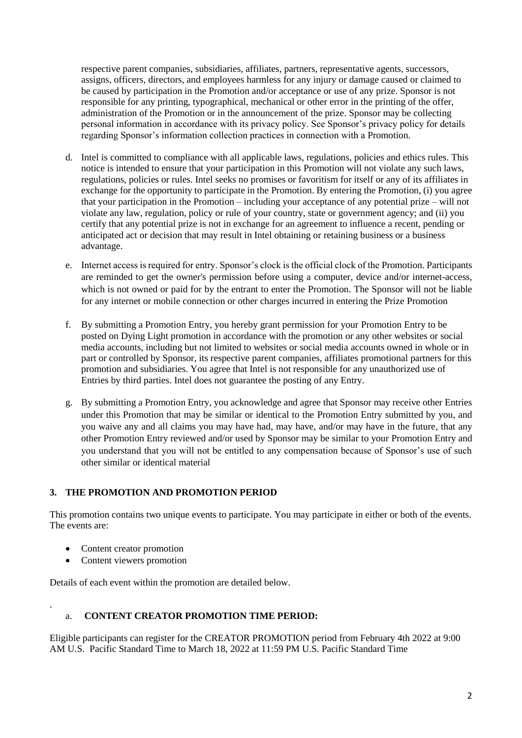respective parent companies, subsidiaries, affiliates, partners, representative agents, successors, assigns, officers, directors, and employees harmless for any injury or damage caused or claimed to be caused by participation in the Promotion and/or acceptance or use of any prize. Sponsor is not responsible for any printing, typographical, mechanical or other error in the printing of the offer, administration of the Promotion or in the announcement of the prize. Sponsor may be collecting personal information in accordance with its privacy policy. See Sponsor's privacy policy for details regarding Sponsor's information collection practices in connection with a Promotion.

- d. Intel is committed to compliance with all applicable laws, regulations, policies and ethics rules. This notice is intended to ensure that your participation in this Promotion will not violate any such laws, regulations, policies or rules. Intel seeks no promises or favoritism for itself or any of its affiliates in exchange for the opportunity to participate in the Promotion. By entering the Promotion, (i) you agree that your participation in the Promotion – including your acceptance of any potential prize – will not violate any law, regulation, policy or rule of your country, state or government agency; and (ii) you certify that any potential prize is not in exchange for an agreement to influence a recent, pending or anticipated act or decision that may result in Intel obtaining or retaining business or a business advantage.
- e. Internet access is required for entry. Sponsor's clock is the official clock of the Promotion. Participants are reminded to get the owner's permission before using a computer, device and/or internet-access, which is not owned or paid for by the entrant to enter the Promotion. The Sponsor will not be liable for any internet or mobile connection or other charges incurred in entering the Prize Promotion
- f. By submitting a Promotion Entry, you hereby grant permission for your Promotion Entry to be posted on Dying Light promotion in accordance with the promotion or any other websites or social media accounts, including but not limited to websites or social media accounts owned in whole or in part or controlled by Sponsor, its respective parent companies, affiliates promotional partners for this promotion and subsidiaries. You agree that Intel is not responsible for any unauthorized use of Entries by third parties. Intel does not guarantee the posting of any Entry.
- g. By submitting a Promotion Entry, you acknowledge and agree that Sponsor may receive other Entries under this Promotion that may be similar or identical to the Promotion Entry submitted by you, and you waive any and all claims you may have had, may have, and/or may have in the future, that any other Promotion Entry reviewed and/or used by Sponsor may be similar to your Promotion Entry and you understand that you will not be entitled to any compensation because of Sponsor's use of such other similar or identical material

# **3. THE PROMOTION AND PROMOTION PERIOD**

This promotion contains two unique events to participate. You may participate in either or both of the events. The events are:

- Content creator promotion
- Content viewers promotion

.

Details of each event within the promotion are detailed below.

## a. **CONTENT CREATOR PROMOTION TIME PERIOD:**

Eligible participants can register for the CREATOR PROMOTION period from February 4th 2022 at 9:00 AM U.S. Pacific Standard Time to March 18, 2022 at 11:59 PM U.S. Pacific Standard Time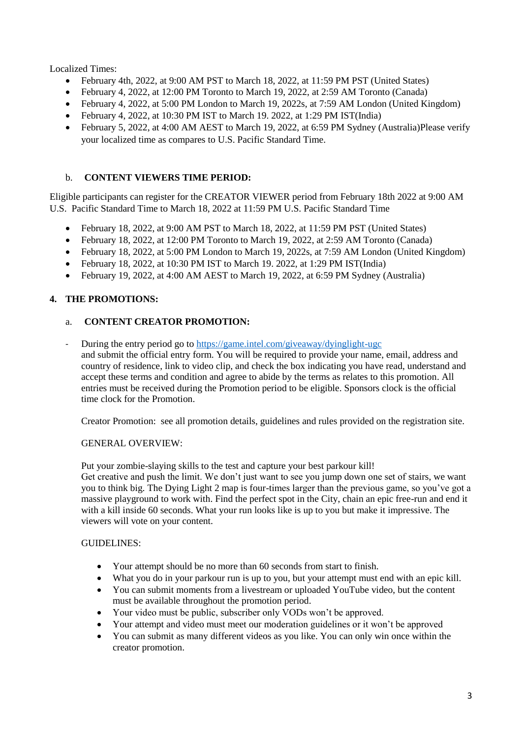Localized Times:

- February 4th, 2022, at 9:00 AM PST to March 18, 2022, at 11:59 PM PST (United States)
- February 4, 2022, at 12:00 PM Toronto to March 19, 2022, at 2:59 AM Toronto (Canada)
- February 4, 2022, at 5:00 PM London to March 19, 2022s, at 7:59 AM London (United Kingdom)
- February 4, 2022, at 10:30 PM IST to March 19. 2022, at 1:29 PM IST(India)
- February 5, 2022, at 4:00 AM AEST to March 19, 2022, at 6:59 PM Sydney (Australia)Please verify your localized time as compares to U.S. Pacific Standard Time.

# b. **CONTENT VIEWERS TIME PERIOD:**

Eligible participants can register for the CREATOR VIEWER period from February 18th 2022 at 9:00 AM U.S. Pacific Standard Time to March 18, 2022 at 11:59 PM U.S. Pacific Standard Time

- February 18, 2022, at 9:00 AM PST to March 18, 2022, at 11:59 PM PST (United States)
- February 18, 2022, at 12:00 PM Toronto to March 19, 2022, at 2:59 AM Toronto (Canada)
- February 18, 2022, at 5:00 PM London to March 19, 2022s, at 7:59 AM London (United Kingdom)
- February 18, 2022, at 10:30 PM IST to March 19, 2022, at 1:29 PM IST(India)
- February 19, 2022, at 4:00 AM AEST to March 19, 2022, at 6:59 PM Sydney (Australia)

# **4. THE PROMOTIONS:**

## a. **CONTENT CREATOR PROMOTION:**

- During the entry period go to <https://game.intel.com/giveaway/dyinglight-ugc> and submit the official entry form. You will be required to provide your name, email, address and country of residence, link to video clip, and check the box indicating you have read, understand and accept these terms and condition and agree to abide by the terms as relates to this promotion. All entries must be received during the Promotion period to be eligible. Sponsors clock is the official time clock for the Promotion.

Creator Promotion: see all promotion details, guidelines and rules provided on the registration site.

## GENERAL OVERVIEW:

Put your zombie-slaying skills to the test and capture your best parkour kill!

Get creative and push the limit. We don't just want to see you jump down one set of stairs, we want you to think big. The Dying Light 2 map is four-times larger than the previous game, so you've got a massive playground to work with. Find the perfect spot in the City, chain an epic free-run and end it with a kill inside 60 seconds. What your run looks like is up to you but make it impressive. The viewers will vote on your content.

## GUIDELINES:

- Your attempt should be no more than 60 seconds from start to finish.
- What you do in your parkour run is up to you, but your attempt must end with an epic kill.
- You can submit moments from a livestream or uploaded YouTube video, but the content must be available throughout the promotion period.
- Your video must be public, subscriber only VODs won't be approved.
- Your attempt and video must meet our moderation guidelines or it won't be approved
- You can submit as many different videos as you like. You can only win once within the creator promotion.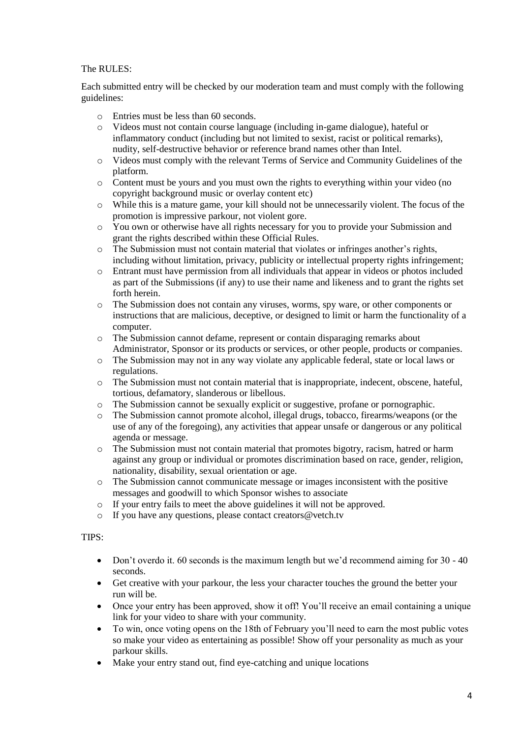## The RULES:

Each submitted entry will be checked by our moderation team and must comply with the following guidelines:

- o Entries must be less than 60 seconds.
- o Videos must not contain course language (including in-game dialogue), hateful or inflammatory conduct (including but not limited to sexist, racist or political remarks), nudity, self-destructive behavior or reference brand names other than Intel.
- o Videos must comply with the relevant Terms of Service and Community Guidelines of the platform.
- o Content must be yours and you must own the rights to everything within your video (no copyright background music or overlay content etc)
- o While this is a mature game, your kill should not be unnecessarily violent. The focus of the promotion is impressive parkour, not violent gore.
- o You own or otherwise have all rights necessary for you to provide your Submission and grant the rights described within these Official Rules.
- o The Submission must not contain material that violates or infringes another's rights, including without limitation, privacy, publicity or intellectual property rights infringement;
- o Entrant must have permission from all individuals that appear in videos or photos included as part of the Submissions (if any) to use their name and likeness and to grant the rights set forth herein.
- o The Submission does not contain any viruses, worms, spy ware, or other components or instructions that are malicious, deceptive, or designed to limit or harm the functionality of a computer.
- o The Submission cannot defame, represent or contain disparaging remarks about Administrator, Sponsor or its products or services, or other people, products or companies.
- o The Submission may not in any way violate any applicable federal, state or local laws or regulations.
- $\circ$  The Submission must not contain material that is inappropriate, indecent, obscene, hateful, tortious, defamatory, slanderous or libellous.
- o The Submission cannot be sexually explicit or suggestive, profane or pornographic.
- o The Submission cannot promote alcohol, illegal drugs, tobacco, firearms/weapons (or the use of any of the foregoing), any activities that appear unsafe or dangerous or any political agenda or message.
- o The Submission must not contain material that promotes bigotry, racism, hatred or harm against any group or individual or promotes discrimination based on race, gender, religion, nationality, disability, sexual orientation or age.
- $\circ$  The Submission cannot communicate message or images inconsistent with the positive messages and goodwill to which Sponsor wishes to associate
- o If your entry fails to meet the above guidelines it will not be approved.
- o If you have any questions, please contact creators@vetch.tv

#### TIPS:

- Don't overdo it. 60 seconds is the maximum length but we'd recommend aiming for 30 40 seconds.
- Get creative with your parkour, the less your character touches the ground the better your run will be.
- Once your entry has been approved, show it off! You'll receive an email containing a unique link for your video to share with your community.
- To win, once voting opens on the 18th of February you'll need to earn the most public votes so make your video as entertaining as possible! Show off your personality as much as your parkour skills.
- Make your entry stand out, find eye-catching and unique locations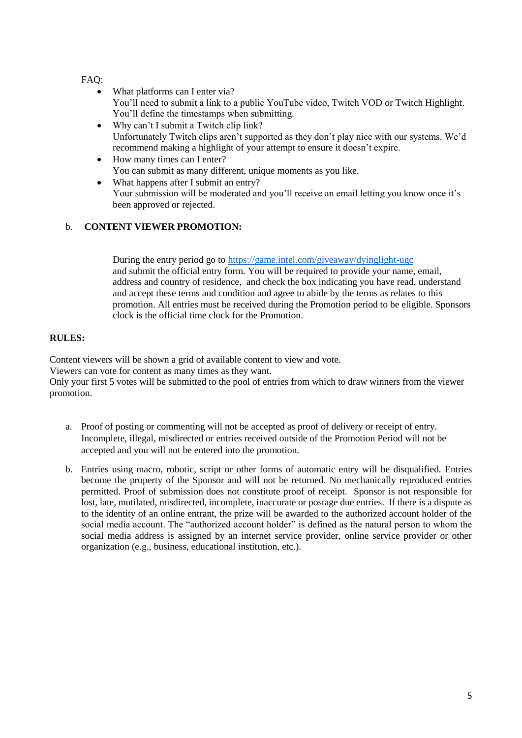## FAQ:

- What platforms can I enter via? You'll need to submit a link to a public YouTube video, Twitch VOD or Twitch Highlight. You'll define the timestamps when submitting.
- Why can't I submit a Twitch clip link? Unfortunately Twitch clips aren't supported as they don't play nice with our systems. We'd recommend making a highlight of your attempt to ensure it doesn't expire.
- How many times can I enter? You can submit as many different, unique moments as you like.
- What happens after I submit an entry? Your submission will be moderated and you'll receive an email letting you know once it's been approved or rejected.

## b. **CONTENT VIEWER PROMOTION:**

During the entry period go to <https://game.intel.com/giveaway/dyinglight-ugc> and submit the official entry form. You will be required to provide your name, email, address and country of residence, and check the box indicating you have read, understand and accept these terms and condition and agree to abide by the terms as relates to this promotion. All entries must be received during the Promotion period to be eligible. Sponsors clock is the official time clock for the Promotion.

## **RULES:**

Content viewers will be shown a grid of available content to view and vote.

Viewers can vote for content as many times as they want.

Only your first 5 votes will be submitted to the pool of entries from which to draw winners from the viewer promotion.

- a. Proof of posting or commenting will not be accepted as proof of delivery or receipt of entry. Incomplete, illegal, misdirected or entries received outside of the Promotion Period will not be accepted and you will not be entered into the promotion.
- b. Entries using macro, robotic, script or other forms of automatic entry will be disqualified. Entries become the property of the Sponsor and will not be returned. No mechanically reproduced entries permitted. Proof of submission does not constitute proof of receipt. Sponsor is not responsible for lost, late, mutilated, misdirected, incomplete, inaccurate or postage due entries. If there is a dispute as to the identity of an online entrant, the prize will be awarded to the authorized account holder of the social media account. The "authorized account holder" is defined as the natural person to whom the social media address is assigned by an internet service provider, online service provider or other organization (e.g., business, educational institution, etc.).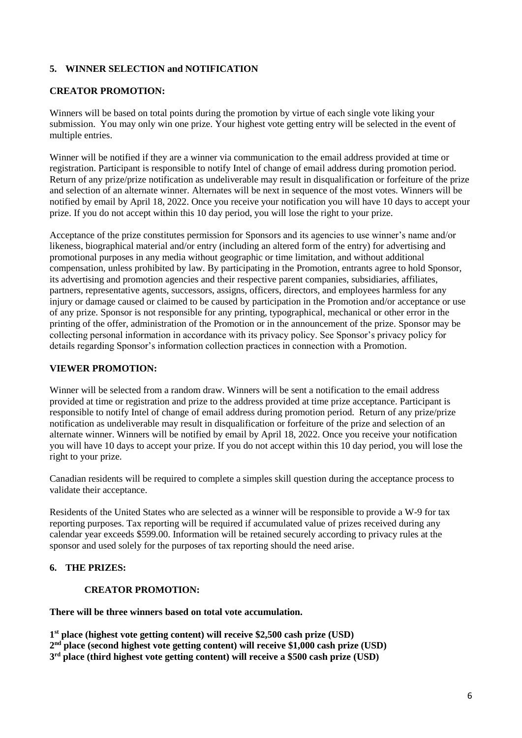# **5. WINNER SELECTION and NOTIFICATION**

### **CREATOR PROMOTION:**

Winners will be based on total points during the promotion by virtue of each single vote liking your submission. You may only win one prize. Your highest vote getting entry will be selected in the event of multiple entries.

Winner will be notified if they are a winner via communication to the email address provided at time or registration. Participant is responsible to notify Intel of change of email address during promotion period. Return of any prize/prize notification as undeliverable may result in disqualification or forfeiture of the prize and selection of an alternate winner. Alternates will be next in sequence of the most votes. Winners will be notified by email by April 18, 2022. Once you receive your notification you will have 10 days to accept your prize. If you do not accept within this 10 day period, you will lose the right to your prize.

Acceptance of the prize constitutes permission for Sponsors and its agencies to use winner's name and/or likeness, biographical material and/or entry (including an altered form of the entry) for advertising and promotional purposes in any media without geographic or time limitation, and without additional compensation, unless prohibited by law. By participating in the Promotion, entrants agree to hold Sponsor, its advertising and promotion agencies and their respective parent companies, subsidiaries, affiliates, partners, representative agents, successors, assigns, officers, directors, and employees harmless for any injury or damage caused or claimed to be caused by participation in the Promotion and/or acceptance or use of any prize. Sponsor is not responsible for any printing, typographical, mechanical or other error in the printing of the offer, administration of the Promotion or in the announcement of the prize. Sponsor may be collecting personal information in accordance with its privacy policy. See Sponsor's privacy policy for details regarding Sponsor's information collection practices in connection with a Promotion.

### **VIEWER PROMOTION:**

Winner will be selected from a random draw. Winners will be sent a notification to the email address provided at time or registration and prize to the address provided at time prize acceptance. Participant is responsible to notify Intel of change of email address during promotion period. Return of any prize/prize notification as undeliverable may result in disqualification or forfeiture of the prize and selection of an alternate winner. Winners will be notified by email by April 18, 2022. Once you receive your notification you will have 10 days to accept your prize. If you do not accept within this 10 day period, you will lose the right to your prize.

Canadian residents will be required to complete a simples skill question during the acceptance process to validate their acceptance.

Residents of the United States who are selected as a winner will be responsible to provide a W-9 for tax reporting purposes. Tax reporting will be required if accumulated value of prizes received during any calendar year exceeds \$599.00. Information will be retained securely according to privacy rules at the sponsor and used solely for the purposes of tax reporting should the need arise.

#### **6. THE PRIZES:**

#### **CREATOR PROMOTION:**

**There will be three winners based on total vote accumulation.**

**1 st place (highest vote getting content) will receive \$2,500 cash prize (USD) 2 nd place (second highest vote getting content) will receive \$1,000 cash prize (USD)**

**3 rd place (third highest vote getting content) will receive a \$500 cash prize (USD)**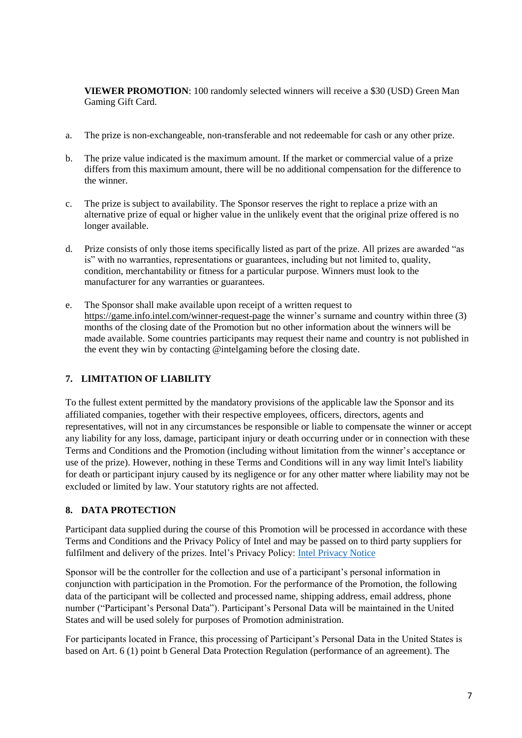**VIEWER PROMOTION**: 100 randomly selected winners will receive a \$30 (USD) Green Man Gaming Gift Card.

- a. The prize is non-exchangeable, non-transferable and not redeemable for cash or any other prize.
- b. The prize value indicated is the maximum amount. If the market or commercial value of a prize differs from this maximum amount, there will be no additional compensation for the difference to the winner.
- c. The prize is subject to availability. The Sponsor reserves the right to replace a prize with an alternative prize of equal or higher value in the unlikely event that the original prize offered is no longer available.
- d. Prize consists of only those items specifically listed as part of the prize. All prizes are awarded "as is" with no warranties, representations or guarantees, including but not limited to, quality, condition, merchantability or fitness for a particular purpose. Winners must look to the manufacturer for any warranties or guarantees.
- e. The Sponsor shall make available upon receipt of a written request to <https://game.info.intel.com/winner-request-page> the winner's surname and country within three (3) months of the closing date of the Promotion but no other information about the winners will be made available. Some countries participants may request their name and country is not published in the event they win by contacting @intelgaming before the closing date.

# **7. LIMITATION OF LIABILITY**

To the fullest extent permitted by the mandatory provisions of the applicable law the Sponsor and its affiliated companies, together with their respective employees, officers, directors, agents and representatives, will not in any circumstances be responsible or liable to compensate the winner or accept any liability for any loss, damage, participant injury or death occurring under or in connection with these Terms and Conditions and the Promotion (including without limitation from the winner's acceptance or use of the prize). However, nothing in these Terms and Conditions will in any way limit Intel's liability for death or participant injury caused by its negligence or for any other matter where liability may not be excluded or limited by law. Your statutory rights are not affected.

# **8. DATA PROTECTION**

Participant data supplied during the course of this Promotion will be processed in accordance with these Terms and Conditions and the Privacy Policy of Intel and may be passed on to third party suppliers for fulfilment and delivery of the prizes. Intel's Privacy Policy: [Intel Privacy Notice](https://www.intel.com/content/www/us/en/privacy/intel-privacy-notice.html)

Sponsor will be the controller for the collection and use of a participant's personal information in conjunction with participation in the Promotion. For the performance of the Promotion, the following data of the participant will be collected and processed name, shipping address, email address, phone number ("Participant's Personal Data"). Participant's Personal Data will be maintained in the United States and will be used solely for purposes of Promotion administration.

For participants located in France, this processing of Participant's Personal Data in the United States is based on Art. 6 (1) point b General Data Protection Regulation (performance of an agreement). The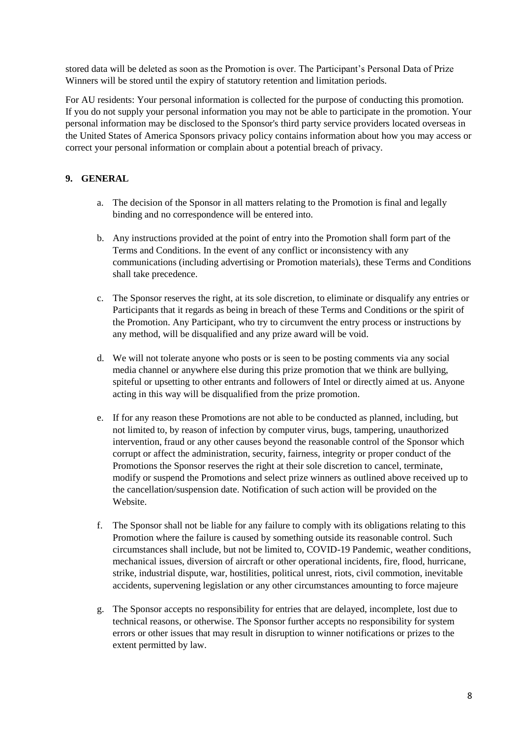stored data will be deleted as soon as the Promotion is over. The Participant's Personal Data of Prize Winners will be stored until the expiry of statutory retention and limitation periods.

For AU residents: Your personal information is collected for the purpose of conducting this promotion. If you do not supply your personal information you may not be able to participate in the promotion. Your personal information may be disclosed to the Sponsor's third party service providers located overseas in the United States of America Sponsors privacy policy contains information about how you may access or correct your personal information or complain about a potential breach of privacy.

# **9. GENERAL**

- a. The decision of the Sponsor in all matters relating to the Promotion is final and legally binding and no correspondence will be entered into.
- b. Any instructions provided at the point of entry into the Promotion shall form part of the Terms and Conditions. In the event of any conflict or inconsistency with any communications (including advertising or Promotion materials), these Terms and Conditions shall take precedence.
- c. The Sponsor reserves the right, at its sole discretion, to eliminate or disqualify any entries or Participants that it regards as being in breach of these Terms and Conditions or the spirit of the Promotion. Any Participant, who try to circumvent the entry process or instructions by any method, will be disqualified and any prize award will be void.
- d. We will not tolerate anyone who posts or is seen to be posting comments via any social media channel or anywhere else during this prize promotion that we think are bullying, spiteful or upsetting to other entrants and followers of Intel or directly aimed at us. Anyone acting in this way will be disqualified from the prize promotion.
- e. If for any reason these Promotions are not able to be conducted as planned, including, but not limited to, by reason of infection by computer virus, bugs, tampering, unauthorized intervention, fraud or any other causes beyond the reasonable control of the Sponsor which corrupt or affect the administration, security, fairness, integrity or proper conduct of the Promotions the Sponsor reserves the right at their sole discretion to cancel, terminate, modify or suspend the Promotions and select prize winners as outlined above received up to the cancellation/suspension date. Notification of such action will be provided on the Website.
- f. The Sponsor shall not be liable for any failure to comply with its obligations relating to this Promotion where the failure is caused by something outside its reasonable control. Such circumstances shall include, but not be limited to, COVID-19 Pandemic, weather conditions, mechanical issues, diversion of aircraft or other operational incidents, fire, flood, hurricane, strike, industrial dispute, war, hostilities, political unrest, riots, civil commotion, inevitable accidents, supervening legislation or any other circumstances amounting to force majeure
- g. The Sponsor accepts no responsibility for entries that are delayed, incomplete, lost due to technical reasons, or otherwise. The Sponsor further accepts no responsibility for system errors or other issues that may result in disruption to winner notifications or prizes to the extent permitted by law.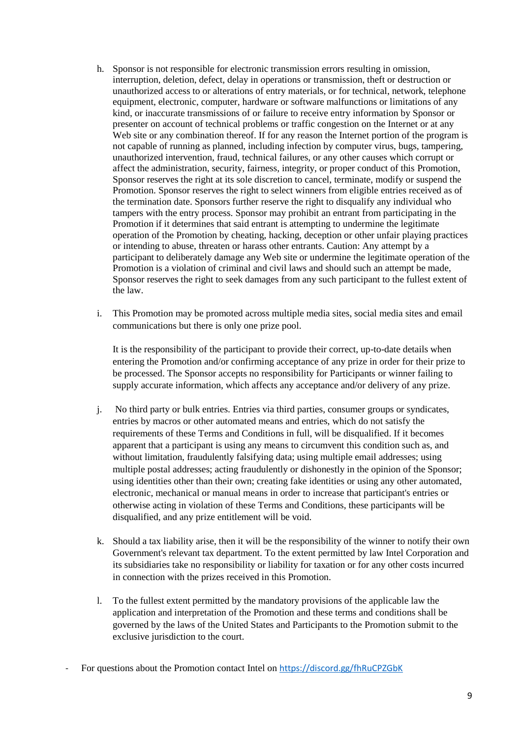- h. Sponsor is not responsible for electronic transmission errors resulting in omission, interruption, deletion, defect, delay in operations or transmission, theft or destruction or unauthorized access to or alterations of entry materials, or for technical, network, telephone equipment, electronic, computer, hardware or software malfunctions or limitations of any kind, or inaccurate transmissions of or failure to receive entry information by Sponsor or presenter on account of technical problems or traffic congestion on the Internet or at any Web site or any combination thereof. If for any reason the Internet portion of the program is not capable of running as planned, including infection by computer virus, bugs, tampering, unauthorized intervention, fraud, technical failures, or any other causes which corrupt or affect the administration, security, fairness, integrity, or proper conduct of this Promotion, Sponsor reserves the right at its sole discretion to cancel, terminate, modify or suspend the Promotion. Sponsor reserves the right to select winners from eligible entries received as of the termination date. Sponsors further reserve the right to disqualify any individual who tampers with the entry process. Sponsor may prohibit an entrant from participating in the Promotion if it determines that said entrant is attempting to undermine the legitimate operation of the Promotion by cheating, hacking, deception or other unfair playing practices or intending to abuse, threaten or harass other entrants. Caution: Any attempt by a participant to deliberately damage any Web site or undermine the legitimate operation of the Promotion is a violation of criminal and civil laws and should such an attempt be made, Sponsor reserves the right to seek damages from any such participant to the fullest extent of the law.
- i. This Promotion may be promoted across multiple media sites, social media sites and email communications but there is only one prize pool.

It is the responsibility of the participant to provide their correct, up-to-date details when entering the Promotion and/or confirming acceptance of any prize in order for their prize to be processed. The Sponsor accepts no responsibility for Participants or winner failing to supply accurate information, which affects any acceptance and/or delivery of any prize.

- j. No third party or bulk entries. Entries via third parties, consumer groups or syndicates, entries by macros or other automated means and entries, which do not satisfy the requirements of these Terms and Conditions in full, will be disqualified. If it becomes apparent that a participant is using any means to circumvent this condition such as, and without limitation, fraudulently falsifying data; using multiple email addresses; using multiple postal addresses; acting fraudulently or dishonestly in the opinion of the Sponsor; using identities other than their own; creating fake identities or using any other automated, electronic, mechanical or manual means in order to increase that participant's entries or otherwise acting in violation of these Terms and Conditions, these participants will be disqualified, and any prize entitlement will be void.
- k. Should a tax liability arise, then it will be the responsibility of the winner to notify their own Government's relevant tax department. To the extent permitted by law Intel Corporation and its subsidiaries take no responsibility or liability for taxation or for any other costs incurred in connection with the prizes received in this Promotion.
- l. To the fullest extent permitted by the mandatory provisions of the applicable law the application and interpretation of the Promotion and these terms and conditions shall be governed by the laws of the United States and Participants to the Promotion submit to the exclusive jurisdiction to the court.
- For questions about the Promotion contact Intel on <https://discord.gg/fhRuCPZGbK>